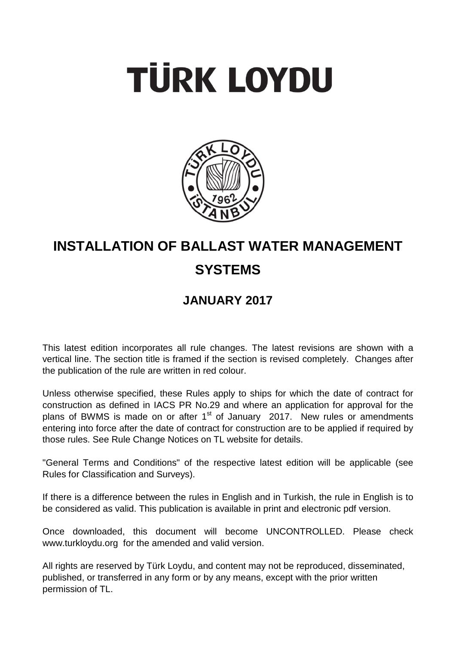# **TÜRK LOYDU**



## **INSTALLATION OF BALLAST WATER MANAGEMENT SYSTEMS**

### **JANUARY 2017**

This latest edition incorporates all rule changes. The latest revisions are shown with a vertical line. The section title is framed if the section is revised completely. Changes after the publication of the rule are written in red colour.

Unless otherwise specified, these Rules apply to ships for which the date of contract for construction as defined in IACS PR No.29 and where an application for approval for the plans of BWMS is made on or after  $1<sup>st</sup>$  of January 2017. New rules or amendments entering into force after the date of contract for construction are to be applied if required by those rules. See Rule Change Notices on TL website for details.

"General Terms and Conditions" of the respective latest edition will be applicable (see Rules for Classification and Surveys).

If there is a difference between the rules in English and in Turkish, the rule in English is to be considered as valid. This publication is available in print and electronic pdf version.

Once downloaded, this document will become UNCONTROLLED. Please check www.turkloydu.org for the amended and valid version.

All rights are reserved by Türk Loydu, and content may not be reproduced, disseminated, published, or transferred in any form or by any means, except with the prior written permission of TL.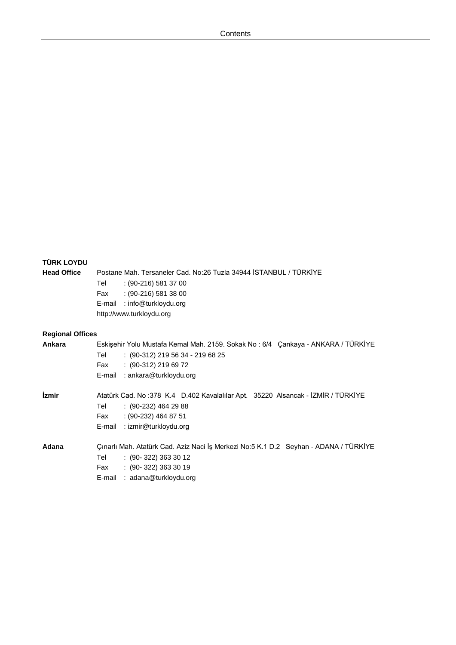#### **TÜRK LOYDU**

**Head Office** Postane Mah. Tersaneler Cad. No:26 Tuzla 34944 İSTANBUL / TÜRKİYE Tel : (90-216) 581 37 00 Fax : (90-216) 581 38 00 E-mail : info@turkloydu.org http://www.turkloydu.org

#### **Regional Offices**

| Ankara       | Eskişehir Yolu Mustafa Kemal Mah. 2159. Sokak No: 6/4 Çankaya - ANKARA / TÜRKİYE<br>$: (90-312)$ 219 56 34 - 219 68 25<br>Tel<br>$: (90-312)$ 219 69 72<br>Fax<br>: ankara@turkloydu.org<br>E-mail |
|--------------|----------------------------------------------------------------------------------------------------------------------------------------------------------------------------------------------------|
| <i>izmir</i> | Atatürk Cad. No: 378 K.4 D.402 Kavalalılar Apt. 35220 Alsancak - İZMİR / TÜRKİYE<br>$(90-232)$ 464 29 88<br>Tel<br>$(90-232)$ 464 87 51<br>Fax<br>: izmir@turkloydu.org<br>E-mail                  |
| Adana        | Çınarlı Mah. Atatürk Cad. Aziz Naci İş Merkezi No:5 K.1 D.2 Seyhan - ADANA / TÜRKİYE<br>$(90-322)$ 363 30 12<br>Tel<br>$(90-322)$ 363 30 19<br>Fax<br>: adana@turkloydu.org<br>E-mail              |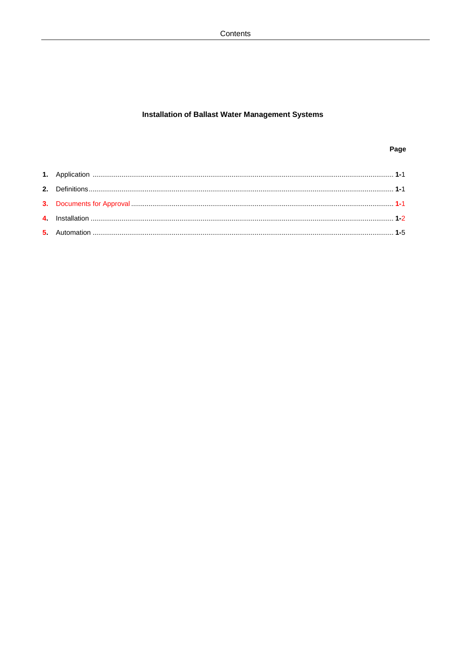#### **Installation of Ballast Water Management Systems**

#### Page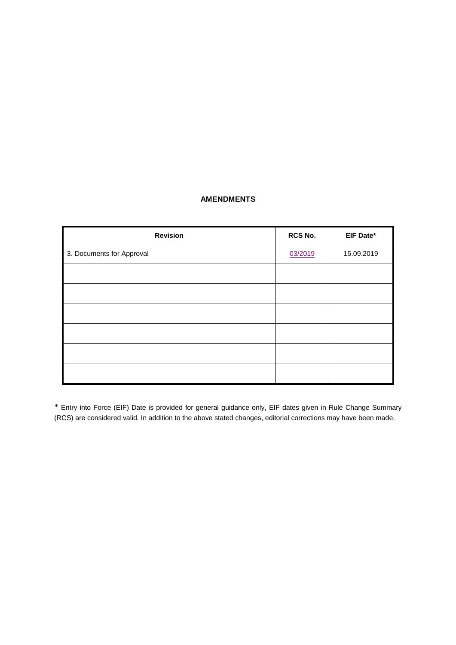#### **AMENDMENTS**

| <b>Revision</b>           | RCS No. | EIF Date*  |
|---------------------------|---------|------------|
| 3. Documents for Approval | 03/2019 | 15.09.2019 |
|                           |         |            |
|                           |         |            |
|                           |         |            |
|                           |         |            |
|                           |         |            |
|                           |         |            |

\* Entry into Force (EIF) Date is provided for general guidance only, EIF dates given in Rule Change Summary (RCS) are considered valid. In addition to the above stated changes, editorial corrections may have been made.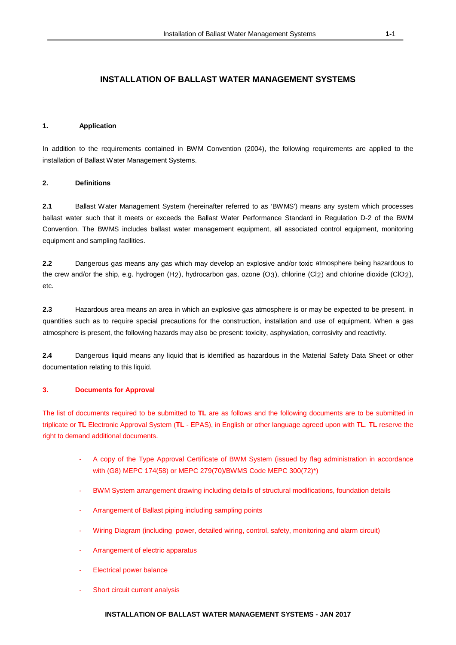#### **INSTALLATION OF BALLAST WATER MANAGEMENT SYSTEMS**

#### **1. Application**

In addition to the requirements contained in BWM Convention (2004), the following requirements are applied to the installation of Ballast Water Management Systems.

#### **2. Definitions**

**2.1** Ballast Water Management System (hereinafter referred to as 'BWMS') means any system which processes ballast water such that it meets or exceeds the Ballast Water Performance Standard in Regulation D-2 of the BWM Convention. The BWMS includes ballast water management equipment, all associated control equipment, monitoring equipment and sampling facilities.

**2.2** Dangerous gas means any gas which may develop an explosive and/or toxic atmosphere being hazardous to the crew and/or the ship, e.g. hydrogen (H2), hydrocarbon gas, ozone (O3), chlorine (Cl2) and chlorine dioxide (ClO2), etc.

**2.3** Hazardous area means an area in which an explosive gas atmosphere is or may be expected to be present, in quantities such as to require special precautions for the construction, installation and use of equipment. When a gas atmosphere is present, the following hazards may also be present: toxicity, asphyxiation, corrosivity and reactivity.

**2.4** Dangerous liquid means any liquid that is identified as hazardous in the Material Safety Data Sheet or other documentation relating to this liquid.

#### **3. Documents for Approval**

The list of documents required to be submitted to **TL** are as follows and the following documents are to be submitted in triplicate or **TL** Electronic Approval System (**TL** - EPAS), in English or other language agreed upon with **TL**. **TL** reserve the right to demand additional documents.

- A copy of the Type Approval Certificate of BWM System (issued by flag administration in accordance with (G8) MEPC 174(58) or MEPC 279(70)/BWMS Code MEPC 300(72)\*)
- BWM System arrangement drawing including details of structural modifications, foundation details
- Arrangement of Ballast piping including sampling points
- Wiring Diagram (including power, detailed wiring, control, safety, monitoring and alarm circuit)
- Arrangement of electric apparatus
- **Electrical power balance**
- Short circuit current analysis

#### **INSTALLATION OF BALLAST WATER MANAGEMENT SYSTEMS - JAN 2017**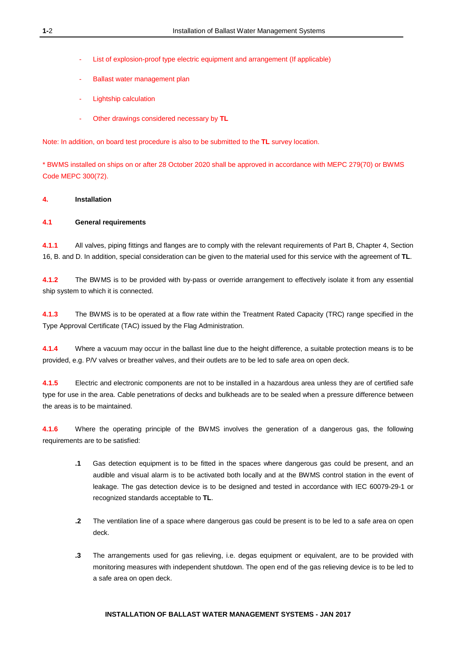- List of explosion-proof type electric equipment and arrangement (If applicable)
- Ballast water management plan
- Lightship calculation
- Other drawings considered necessary by **TL**

Note: In addition, on board test procedure is also to be submitted to the **TL** survey location.

\* BWMS installed on ships on or after 28 October 2020 shall be approved in accordance with MEPC 279(70) or BWMS Code MEPC 300(72).

#### **4. Installation**

#### **4.1 General requirements**

**4.1.1** All valves, piping fittings and flanges are to comply with the relevant requirements of Part B, Chapter 4, Section 16, B. and D. In addition, special consideration can be given to the material used for this service with the agreement of **TL**.

**4.1.2** The BWMS is to be provided with by-pass or override arrangement to effectively isolate it from any essential ship system to which it is connected.

**4.1.3** The BWMS is to be operated at a flow rate within the Treatment Rated Capacity (TRC) range specified in the Type Approval Certificate (TAC) issued by the Flag Administration.

**4.1.4** Where a vacuum may occur in the ballast line due to the height difference, a suitable protection means is to be provided, e.g. P/V valves or breather valves, and their outlets are to be led to safe area on open deck.

**4.1.5** Electric and electronic components are not to be installed in a hazardous area unless they are of certified safe type for use in the area. Cable penetrations of decks and bulkheads are to be sealed when a pressure difference between the areas is to be maintained.

**4.1.6** Where the operating principle of the BWMS involves the generation of a dangerous gas, the following requirements are to be satisfied:

- **.1** Gas detection equipment is to be fitted in the spaces where dangerous gas could be present, and an audible and visual alarm is to be activated both locally and at the BWMS control station in the event of leakage. The gas detection device is to be designed and tested in accordance with IEC 60079-29-1 or recognized standards acceptable to **TL**.
- **.2** The ventilation line of a space where dangerous gas could be present is to be led to a safe area on open deck.
- **.3** The arrangements used for gas relieving, i.e. degas equipment or equivalent, are to be provided with monitoring measures with independent shutdown. The open end of the gas relieving device is to be led to a safe area on open deck.

#### **INSTALLATION OF BALLAST WATER MANAGEMENT SYSTEMS - JAN 2017**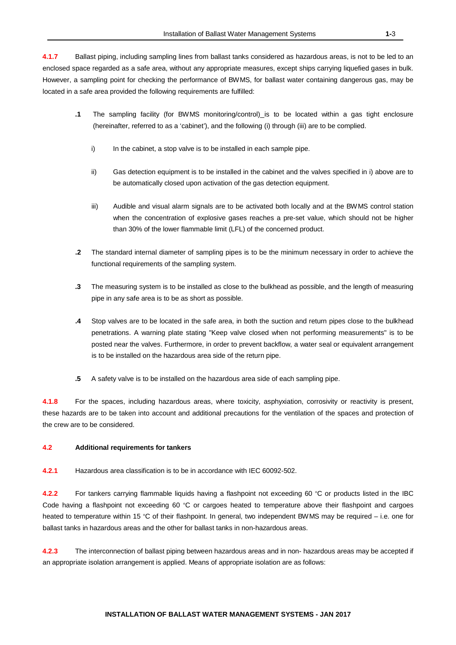**4.1.7** Ballast piping, including sampling lines from ballast tanks considered as hazardous areas, is not to be led to an enclosed space regarded as a safe area, without any appropriate measures, except ships carrying liquefied gases in bulk. However, a sampling point for checking the performance of BWMS, for ballast water containing dangerous gas, may be located in a safe area provided the following requirements are fulfilled:

- **.1** The sampling facility (for BWMS monitoring/control) is to be located within a gas tight enclosure (hereinafter, referred to as a 'cabinet'), and the following (i) through (iii) are to be complied.
	- i) In the cabinet, a stop valve is to be installed in each sample pipe.
	- ii) Gas detection equipment is to be installed in the cabinet and the valves specified in i) above are to be automatically closed upon activation of the gas detection equipment.
	- iii) Audible and visual alarm signals are to be activated both locally and at the BWMS control station when the concentration of explosive gases reaches a pre-set value, which should not be higher than 30% of the lower flammable limit (LFL) of the concerned product.
- **.2** The standard internal diameter of sampling pipes is to be the minimum necessary in order to achieve the functional requirements of the sampling system.
- **.3** The measuring system is to be installed as close to the bulkhead as possible, and the length of measuring pipe in any safe area is to be as short as possible.
- **.4** Stop valves are to be located in the safe area, in both the suction and return pipes close to the bulkhead penetrations. A warning plate stating "Keep valve closed when not performing measurements" is to be posted near the valves. Furthermore, in order to prevent backflow, a water seal or equivalent arrangement is to be installed on the hazardous area side of the return pipe.
- **.5** A safety valve is to be installed on the hazardous area side of each sampling pipe.

**4.1.8** For the spaces, including hazardous areas, where toxicity, asphyxiation, corrosivity or reactivity is present, these hazards are to be taken into account and additional precautions for the ventilation of the spaces and protection of the crew are to be considered.

#### **4.2 Additional requirements for tankers**

**4.2.1** Hazardous area classification is to be in accordance with IEC 60092-502.

**4.2.2** For tankers carrying flammable liquids having a flashpoint not exceeding 60 °C or products listed in the IBC Code having a flashpoint not exceeding 60 °C or cargoes heated to temperature above their flashpoint and cargoes heated to temperature within 15 °C of their flashpoint. In general, two independent BWMS may be required – i.e. one for ballast tanks in hazardous areas and the other for ballast tanks in non-hazardous areas.

**4.2.3** The interconnection of ballast piping between hazardous areas and in non- hazardous areas may be accepted if an appropriate isolation arrangement is applied. Means of appropriate isolation are as follows: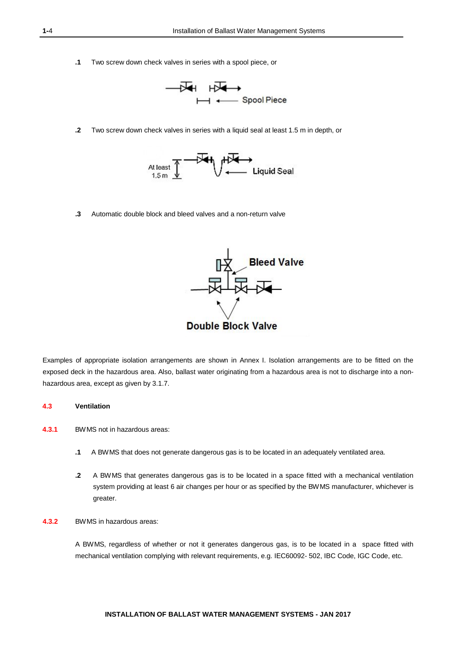**.1** Two screw down check valves in series with a spool piece, or



**.2** Two screw down check valves in series with a liquid seal at least 1.5 m in depth, or



**.3** Automatic double block and bleed valves and a non-return valve



Examples of appropriate isolation arrangements are shown in Annex I. Isolation arrangements are to be fitted on the exposed deck in the hazardous area. Also, ballast water originating from a hazardous area is not to discharge into a nonhazardous area, except as given by 3.1.7.

#### **4.3 Ventilation**

- **4.3.1** BWMS not in hazardous areas:
	- **.1** A BWMS that does not generate dangerous gas is to be located in an adequately ventilated area.
	- **.2** A BWMS that generates dangerous gas is to be located in a space fitted with a mechanical ventilation system providing at least 6 air changes per hour or as specified by the BWMS manufacturer, whichever is greater.
- **4.3.2** BWMS in hazardous areas:

A BWMS, regardless of whether or not it generates dangerous gas, is to be located in a space fitted with mechanical ventilation complying with relevant requirements, e.g. IEC60092- 502, IBC Code, IGC Code, etc.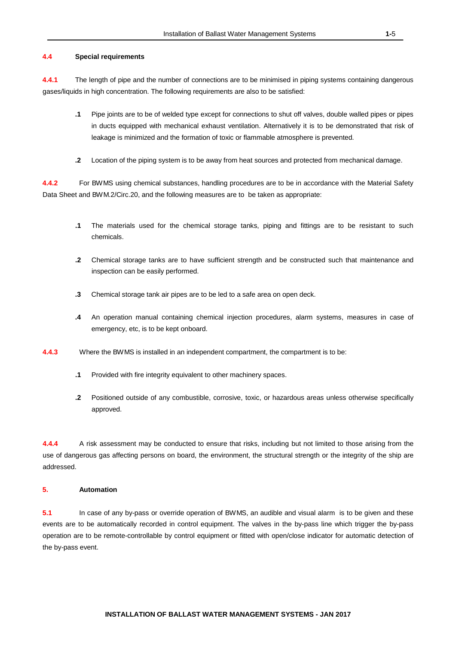#### **4.4 Special requirements**

**4.4.1** The length of pipe and the number of connections are to be minimised in piping systems containing dangerous gases/liquids in high concentration. The following requirements are also to be satisfied:

- **.1** Pipe joints are to be of welded type except for connections to shut off valves, double walled pipes or pipes in ducts equipped with mechanical exhaust ventilation. Alternatively it is to be demonstrated that risk of leakage is minimized and the formation of toxic or flammable atmosphere is prevented.
- **.2** Location of the piping system is to be away from heat sources and protected from mechanical damage.

**4.4.2** For BWMS using chemical substances, handling procedures are to be in accordance with the Material Safety Data Sheet and BWM.2/Circ.20, and the following measures are to be taken as appropriate:

- **.1** The materials used for the chemical storage tanks, piping and fittings are to be resistant to such chemicals.
- **.2** Chemical storage tanks are to have sufficient strength and be constructed such that maintenance and inspection can be easily performed.
- **.3** Chemical storage tank air pipes are to be led to a safe area on open deck.
- **.4** An operation manual containing chemical injection procedures, alarm systems, measures in case of emergency, etc, is to be kept onboard.
- **4.4.3** Where the BWMS is installed in an independent compartment, the compartment is to be:
	- **.1** Provided with fire integrity equivalent to other machinery spaces.
	- **.2** Positioned outside of any combustible, corrosive, toxic, or hazardous areas unless otherwise specifically approved.

**4.4.4** A risk assessment may be conducted to ensure that risks, including but not limited to those arising from the use of dangerous gas affecting persons on board, the environment, the structural strength or the integrity of the ship are addressed.

#### **5. Automation**

**5.1** In case of any by-pass or override operation of BWMS, an audible and visual alarm is to be given and these events are to be automatically recorded in control equipment. The valves in the by-pass line which trigger the by-pass operation are to be remote-controllable by control equipment or fitted with open/close indicator for automatic detection of the by-pass event.